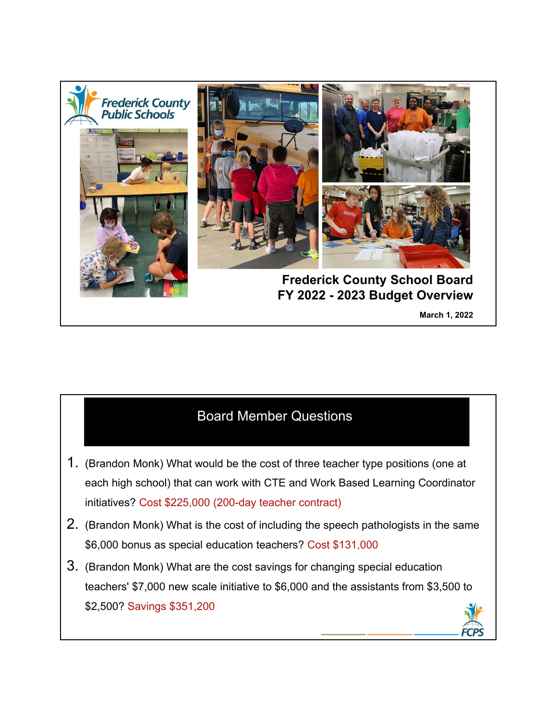

## Board Member Questions

- 1. (Brandon Monk) What would be the cost of three teacher type positions (one at each high school) that can work with CTE and Work Based Learning Coordinator initiatives? Cost \$225,000 (200-day teacher contract)
- 2. (Brandon Monk) What is the cost of including the speech pathologists in the same \$6,000 bonus as special education teachers? Cost \$131,000
- 3. (Brandon Monk) What are the cost savings for changing special education teachers' \$7,000 new scale initiative to \$6,000 and the assistants from \$3,500 to \$2,500? Savings \$351,200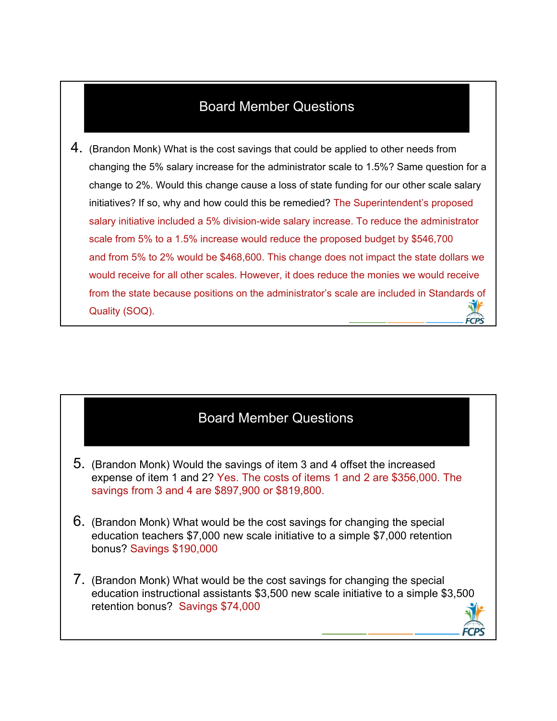## Board Member Questions

4. (Brandon Monk) What is the cost savings that could be applied to other needs from changing the 5% salary increase for the administrator scale to 1.5%? Same question for a change to 2%. Would this change cause a loss of state funding for our other scale salary initiatives? If so, why and how could this be remedied? The Superintendent's proposed salary initiative included a 5% division-wide salary increase. To reduce the administrator scale from 5% to a 1.5% increase would reduce the proposed budget by \$546,700 and from 5% to 2% would be \$468,600. This change does not impact the state dollars we would receive for all other scales. However, it does reduce the monies we would receive from the state because positions on the administrator's scale are included in Standards of Quality (SOQ).

## Board Member Questions

- 5. (Brandon Monk) Would the savings of item 3 and 4 offset the increased expense of item 1 and 2? Yes. The costs of items 1 and 2 are \$356,000. The savings from 3 and 4 are \$897,900 or \$819,800.
- 6. (Brandon Monk) What would be the cost savings for changing the special education teachers \$7,000 new scale initiative to a simple \$7,000 retention bonus? Savings \$190,000
- 7. (Brandon Monk) What would be the cost savings for changing the special education instructional assistants \$3,500 new scale initiative to a simple \$3,500 retention bonus? Savings \$74,000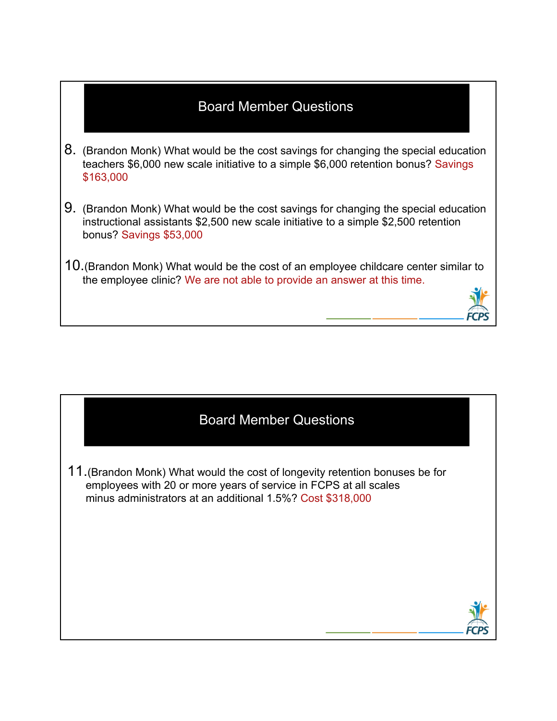## Board Member Questions

- 8. (Brandon Monk) What would be the cost savings for changing the special education teachers \$6,000 new scale initiative to a simple \$6,000 retention bonus? Savings \$163,000
- 9. (Brandon Monk) What would be the cost savings for changing the special education instructional assistants \$2,500 new scale initiative to a simple \$2,500 retention bonus? Savings \$53,000
- 10.(Brandon Monk) What would be the cost of an employee childcare center similar to the employee clinic? We are not able to provide an answer at this time.



11.(Brandon Monk) What would the cost of longevity retention bonuses be for employees with 20 or more years of service in FCPS at all scales minus administrators at an additional 1.5%? Cost \$318,000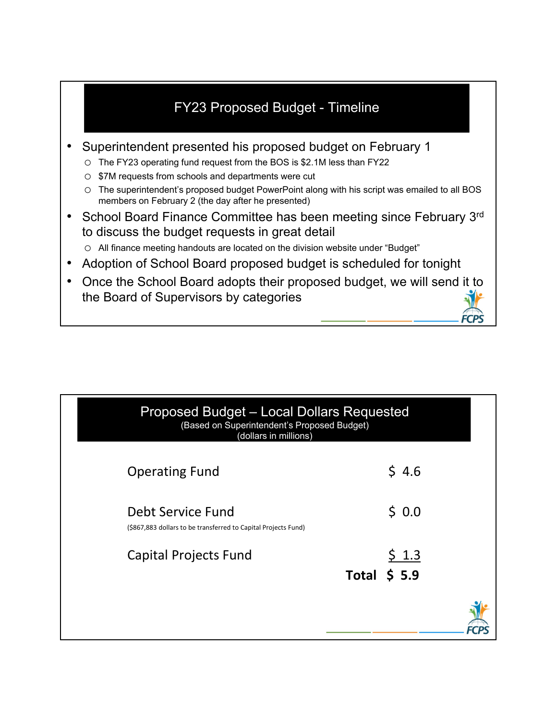## FY23 Proposed Budget - Timeline

- Superintendent presented his proposed budget on February 1
	- o The FY23 operating fund request from the BOS is \$2.1M less than FY22
	- o \$7M requests from schools and departments were cut
	- o The superintendent's proposed budget PowerPoint along with his script was emailed to all BOS members on February 2 (the day after he presented)
- School Board Finance Committee has been meeting since February 3rd to discuss the budget requests in great detail
	- o All finance meeting handouts are located on the division website under "Budget"
- Adoption of School Board proposed budget is scheduled for tonight
- Once the School Board adopts their proposed budget, we will send it to the Board of Supervisors by categories

| <b>Proposed Budget - Local Dollars Requested</b><br>(Based on Superintendent's Proposed Budget)<br>(dollars in millions) |                       |
|--------------------------------------------------------------------------------------------------------------------------|-----------------------|
| <b>Operating Fund</b>                                                                                                    | \$4.6                 |
| Debt Service Fund<br>(\$867,883 dollars to be transferred to Capital Projects Fund)                                      | \$0.0                 |
| Capital Projects Fund                                                                                                    | \$1.3<br>Total $$5.9$ |
|                                                                                                                          |                       |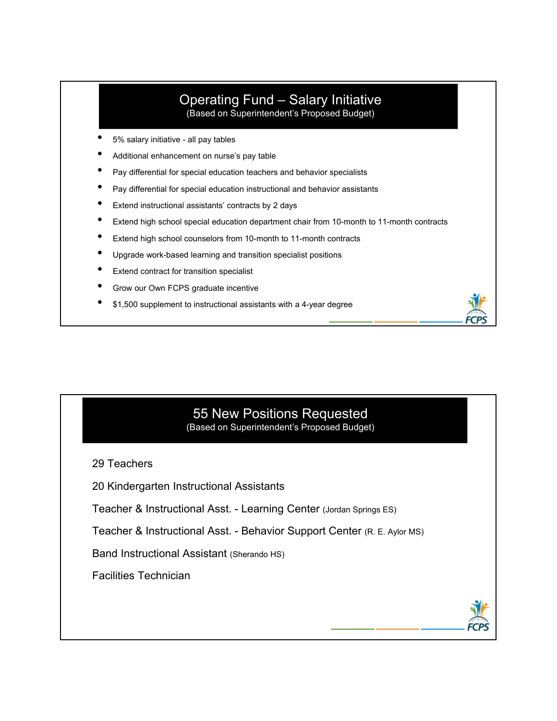# Operating Fund – Salary Initiative

(Based on Superintendent's Proposed Budget)

- 5% salary initiative all pay tables
- Additional enhancement on nurse's pay table
- Pay differential for special education teachers and behavior specialists
- Pay differential for special education instructional and behavior assistants
- Extend instructional assistants' contracts by 2 days
- Extend high school special education department chair from 10-month to 11-month contracts
- Extend high school counselors from 10-month to 11-month contracts
- Upgrade work-based learning and transition specialist positions
- Extend contract for transition specialist
- Grow our Own FCPS graduate incentive
- \$1,500 supplement to instructional assistants with a 4-year degree

#### 55 New Positions Requested (Based on Superintendent's Proposed Budget)

29 Teachers

20 Kindergarten Instructional Assistants

Teacher & Instructional Asst. - Learning Center (Jordan Springs ES)

Teacher & Instructional Asst. - Behavior Support Center (R. E. Aylor MS)

Band Instructional Assistant (Sherando HS)

Facilities Technician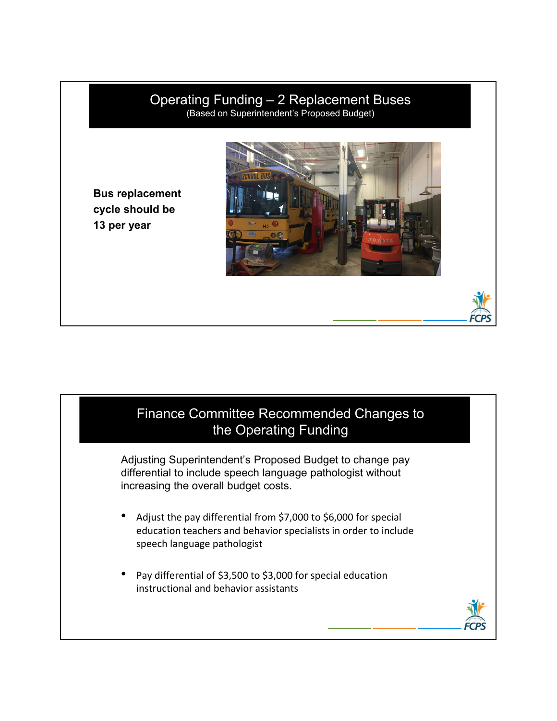## Operating Funding – 2 Replacement Buses

(Based on Superintendent's Proposed Budget)

**Bus replacement cycle should be 13 per year**



## Finance Committee Recommended Changes to the Operating Funding

Adjusting Superintendent's Proposed Budget to change pay differential to include speech language pathologist without increasing the overall budget costs.

- Adjust the pay differential from \$7,000 to \$6,000 for special education teachers and behavior specialists in order to include speech language pathologist
- Pay differential of \$3,500 to \$3,000 for special education instructional and behavior assistants